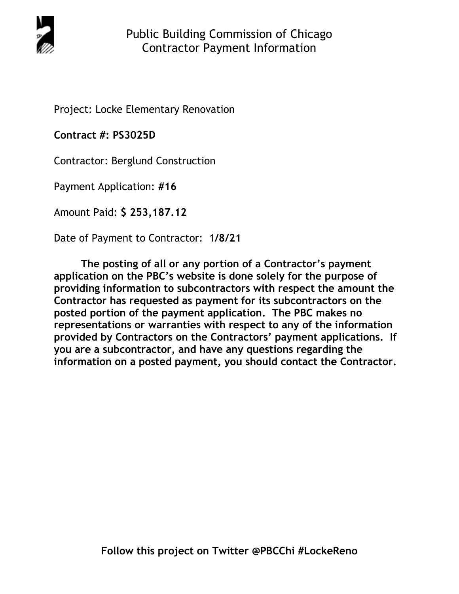

Project: Locke Elementary Renovation

**Contract #: PS3025D**

Contractor: Berglund Construction

Payment Application: **#16** 

Amount Paid: **\$ 253,187.12** 

Date of Payment to Contractor: 1**/8/21** 

**The posting of all or any portion of a Contractor's payment application on the PBC's website is done solely for the purpose of providing information to subcontractors with respect the amount the Contractor has requested as payment for its subcontractors on the posted portion of the payment application. The PBC makes no representations or warranties with respect to any of the information provided by Contractors on the Contractors' payment applications. If you are a subcontractor, and have any questions regarding the information on a posted payment, you should contact the Contractor.**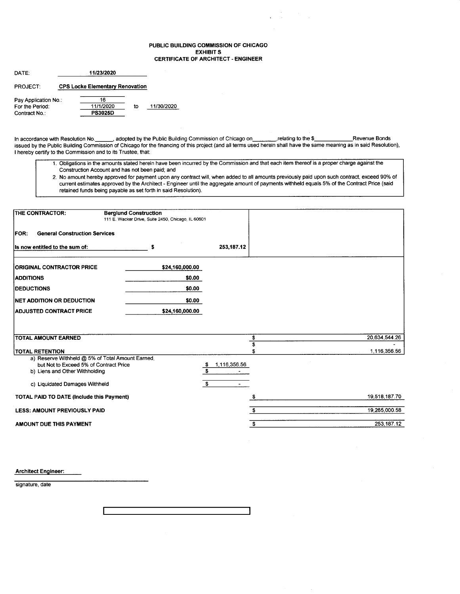#### PUBLIC BUILDING COMMISSION OF CHICAGO **EXHIBIT S CERTIFICATE OF ARCHITECT - ENGINEER**

| DATE:                | 11/23/2020                             |    |            |
|----------------------|----------------------------------------|----|------------|
| <b>PROJECT:</b>      | <b>CPS Locke Elementary Renovation</b> |    |            |
| Pay Application No.: | 16                                     |    |            |
| For the Period:      | 11/1/2020                              | tο | 11/30/2020 |
| Contract No.:        | <b>PS3025D</b>                         |    |            |

In accordance with Resolution No. \_\_\_\_\_\_, adopted by the Public Building Commission of Chicago on \_\_\_\_\_\_\_\_\_, relating to the \$\_ Revenue Bonds issued by the Public Building Commission of Chicago for the financing of this project (and all terms used herein shall have the same meaning as in said Resolution), I hereby certify to the Commission and to its Trustee, that:

- 1. Obligations in the amounts stated herein have been incurred by the Commission and that each item thereof is a proper charge against the Construction Account and has not been paid; and
- 2. No amount hereby approved for payment upon any contract will, when added to all amounts previously paid upon such contract, exceed 90% of current estimates approved by the Architect - Engineer until the aggregate amount of payments withheld equals 5% of the Contract Price (said retained funds being payable as set forth in said Resolution).

| <b>THE CONTRACTOR:</b>                                                                     | <b>Berglund Construction</b><br>111 E. Wacker Drive, Suite 2450, Chicago, IL 60601 |                         |               |
|--------------------------------------------------------------------------------------------|------------------------------------------------------------------------------------|-------------------------|---------------|
| <b>General Construction Services</b><br>IFOR:                                              |                                                                                    |                         |               |
| Is now entitled to the sum of:                                                             | s                                                                                  | 253,187.12              |               |
| <b>ORIGINAL CONTRACTOR PRICE</b>                                                           | \$24,160,000.00                                                                    |                         |               |
| <b>ADDITIONS</b>                                                                           | \$0.00                                                                             |                         |               |
| <b>IDEDUCTIONS</b>                                                                         | \$0.00                                                                             |                         |               |
| <b>INET ADDITION OR DEDUCTION</b>                                                          | \$0.00                                                                             |                         |               |
| <b>ADJUSTED CONTRACT PRICE</b>                                                             | \$24,160,000.00                                                                    |                         |               |
|                                                                                            |                                                                                    |                         |               |
| <b>TOTAL AMOUNT EARNED</b>                                                                 |                                                                                    | s                       | 20,634,544.26 |
|                                                                                            |                                                                                    | \$                      |               |
| <b>TOTAL RETENTION</b>                                                                     |                                                                                    |                         | 1.116,356.56  |
| a) Reserve Withheld @ 5% of Total Amount Earned,<br>but Not to Exceed 5% of Contract Price |                                                                                    | 1,116,356.56<br>- \$    |               |
| b) Liens and Other Withholding                                                             |                                                                                    | $\overline{\mathbf{s}}$ |               |
|                                                                                            |                                                                                    |                         |               |
| c) Liquidated Damages Withheld                                                             |                                                                                    | \$                      |               |
| <b>TOTAL PAID TO DATE (Include this Payment)</b>                                           |                                                                                    |                         | 19,518,187.70 |
| <b>LESS: AMOUNT PREVIOUSLY PAID</b>                                                        |                                                                                    |                         | 19,265,000.58 |
| AMOUNT DUE THIS PAYMENT                                                                    |                                                                                    | \$                      | 253,187.12    |

**Architect Engineer:** 

signature, date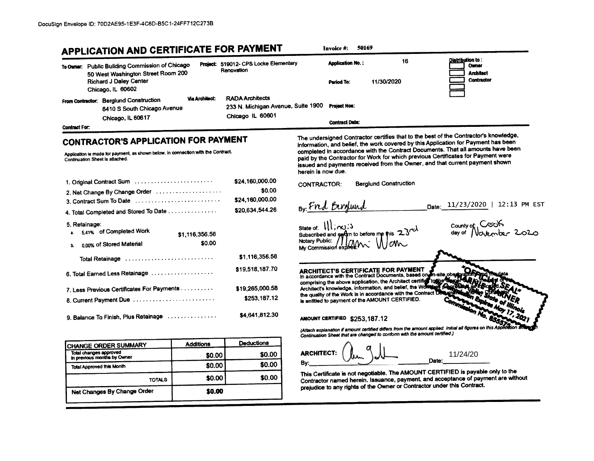|                                 | APPLICATION AND CERTIFICATE FOR PAYMENT                                                                                                     |                       |                                                                                  | 50169<br>Invoice #:                                                                                                                                                                                                                                                      |
|---------------------------------|---------------------------------------------------------------------------------------------------------------------------------------------|-----------------------|----------------------------------------------------------------------------------|--------------------------------------------------------------------------------------------------------------------------------------------------------------------------------------------------------------------------------------------------------------------------|
|                                 | To Owner: Public Building Commission of Chicago<br>50 West Washington Street Room 200<br><b>Richard J Daley Center</b><br>Chicago, IL 60602 |                       | Project: 519012- CPS Locke Elementary<br>Renovation                              | : Distribution to<br>16<br><b>Application No.:</b><br>Owner<br><b>Architect</b><br><b>Contractor</b><br>11/30/2020<br>Pariod To:                                                                                                                                         |
| <b>Contract For:</b>            | From Contractor: Berglund Construction<br>8410 S South Chicago Avenue<br>Chicago, IL 60617                                                  | <b>Via Architect:</b> | <b>RADA Architects</b><br>233 N. Michigan Avenue, Suite 1900<br>Chicago IL 60601 | <b>Project Nos:</b><br><b>Contract Date:</b>                                                                                                                                                                                                                             |
|                                 | <b>CONTRACTOR'S APPLICATION FOR PAYMENT</b>                                                                                                 |                       |                                                                                  | The undersigned Contractor certifies that to the best of the Contractor's knowledge,<br>information, and belief, the work covered by this Application for Payment has been                                                                                               |
| Continuation Sheet is attached. | Application is made for payment, as shown below, in connection with the Contract.                                                           |                       |                                                                                  | completed in accordance with the Contract Documents. That all amounts have been<br>paid by the Contractor for Work for which previous Certificates for Payment were<br>issued and payments received from the Owner, and that current payment shown<br>herein is now due. |
|                                 | 1. Original Contract Sum                                                                                                                    |                       | \$24,160,000.00                                                                  | <b>Berglund Construction</b><br>CONTRACTOR:                                                                                                                                                                                                                              |
|                                 | 2. Net Change By Change Order                                                                                                               |                       | \$0.00<br>\$24,160,000.00                                                        |                                                                                                                                                                                                                                                                          |
|                                 | 3. Contract Sum To Date                                                                                                                     |                       | \$20,634,544.26                                                                  | Date: 11/23/2020   12:13 PM EST<br>By: Fred Bergund                                                                                                                                                                                                                      |
|                                 | 4. Total Completed and Stored To Date                                                                                                       |                       |                                                                                  |                                                                                                                                                                                                                                                                          |
| 5. Retainage:                   | 5,41% of Completed Work                                                                                                                     | \$1,116,356.56        |                                                                                  | state of: $\frac{1}{\sqrt{2}}$<br>county of Cook<br>Subscribed and symptor to before me this 23rd                                                                                                                                                                        |
| b.                              | 0.00% of Stored Material                                                                                                                    | \$0.00                |                                                                                  | Wiking of The Commission expires.                                                                                                                                                                                                                                        |
|                                 | Total Retainage                                                                                                                             |                       | \$1,116,356.56                                                                   |                                                                                                                                                                                                                                                                          |
|                                 | 6. Total Earned Less Retainage                                                                                                              |                       | \$19,518,187.70                                                                  | ARCHITECT'S CERTIFICATE FOR PAYMENT<br>In accordance with the Contract Documents, based on Tn-site observate                                                                                                                                                             |
|                                 | 7. Less Previous Certificates For Payments                                                                                                  |                       | \$19,265,000.58                                                                  | comprising the above application, the Architect certifical toppe desperted to the above application, and belief, the Workings the architect structure of a belief and belief, the Workings presented as<br>Architect's knowledge, information, and belief, the World     |
|                                 | 8. Current Payment Due                                                                                                                      |                       | \$253,187.12                                                                     | the quality of the Work is in accordance with the Contract De<br>is entitled to payment of the AMOUNT CERTIFIED.                                                                                                                                                         |
|                                 | 9. Balance To Finish, Plus Retainage                                                                                                        |                       | \$4,641,812.30                                                                   | AMOUNT CERTIFIED \$253.187.12                                                                                                                                                                                                                                            |
|                                 |                                                                                                                                             |                       |                                                                                  | (Attach explanation if amount certified differs from the amount applied. Initial all figures on this Application a<br>Continuation Sheet that are changed to conform with the amount certified.)                                                                         |
|                                 | <b>CHANGE ORDER SUMMARY</b>                                                                                                                 | <b>Additions</b>      | <b>Deductions</b>                                                                |                                                                                                                                                                                                                                                                          |
| Total changes approved          | in previous months by Owner                                                                                                                 | \$0.00                | \$0.00                                                                           | ARCHITECT:<br>11/24/20                                                                                                                                                                                                                                                   |
| Total Approved this Month       |                                                                                                                                             | \$0.00                | \$0.00                                                                           | Date:<br>B۷.                                                                                                                                                                                                                                                             |
|                                 | <b>TOTALS</b>                                                                                                                               | \$0.00                | \$0.00                                                                           | This Certificate is not negotiable. The AMOUNT CERTIFIED is payable only to the<br>Contractor named herein. Issuance, payment, and acceptance of payment are without                                                                                                     |
|                                 | Net Changes By Change Order                                                                                                                 | \$0.00                |                                                                                  | prejudice to any rights of the Owner or Contractor under this Contract.                                                                                                                                                                                                  |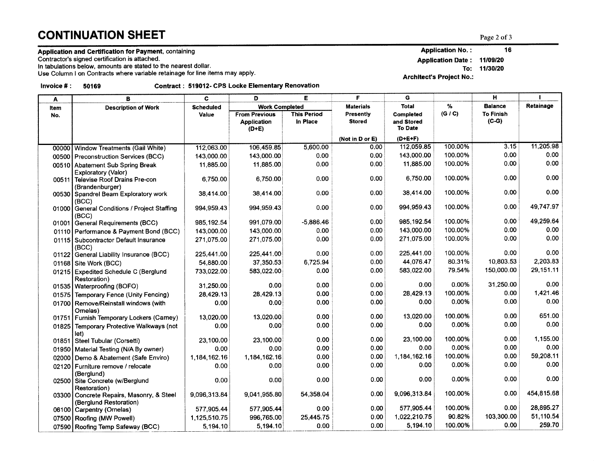# **CONTINUATION SHEET**  $_{\text{Page 2 of 3}}$

## Application and Certification for Payment, containing

Contractor's signed certification is attached.

ln tabulations below, amounts are stated to the nearest dollar.

Use Column I on Contracts where variable retainage for line items may apply

Invoice #: 50169 Contract: 519012- CPS Locke Elementary Renovation

| A     | B                                                        | C                | E<br>D                        |                                | F                                 | G                              |         | H                           | ı          |
|-------|----------------------------------------------------------|------------------|-------------------------------|--------------------------------|-----------------------------------|--------------------------------|---------|-----------------------------|------------|
| Item  | <b>Description of Work</b>                               | <b>Scheduled</b> | <b>Work Completed</b>         |                                | <b>Materials</b>                  | Total                          | %       | <b>Balance</b>              | Retainage  |
| No.   |                                                          | Value            | <b>From Previous</b>          | <b>This Period</b><br>In Place | <b>Presently</b><br><b>Stored</b> | <b>Completed</b><br>and Stored | (G / C) | <b>To Finish</b><br>$(C-G)$ |            |
|       |                                                          |                  | <b>Application</b><br>$(D+E)$ |                                |                                   | <b>To Date</b>                 |         |                             |            |
|       |                                                          |                  |                               |                                | (Not in D or E)                   | $(D+E+F)$                      |         |                             |            |
| 00000 | Window Treatments (Gail White)                           | 112,063.00       | 106,459.85                    | 5,600.00                       | 0.00                              | 112,059.85                     | 100.00% | 3.15                        | 11,205.98  |
| 00500 | <b>Preconstruction Services (BCC)</b>                    | 143,000.00       | 143,000.00                    | 0.00                           | 0.00                              | 143,000.00                     | 100.00% | 0.00                        | 0.00       |
|       | 00510 Abatement Sub Spring Break                         | 11,885.00        | 11,885.00                     | 0.00                           | 0.00                              | 11,885.00                      | 100.00% | 0.00                        | 0.00       |
|       | Exploratory (Valor)                                      |                  |                               |                                |                                   |                                |         |                             |            |
| 00511 | <b>Televise Roof Drains Pre-con</b>                      | 6.750.00         | 6.750.00                      | 0.00                           | 0.00                              | 6.750.00                       | 100.00% | 0.00                        | 0.00       |
|       | (Brandenburger)<br>00530 Spandrel Beam Exploratory work  | 38.414.00        | 38,414.00                     | 0.00                           | 0.00                              | 38,414.00                      | 100.00% | 0.00                        | 0.00       |
|       | (BCC)                                                    |                  |                               |                                |                                   |                                |         |                             |            |
| 01000 | General Conditions / Project Staffing                    | 994,959.43       | 994,959.43                    | 0.00                           | 0.00                              | 994.959.43                     | 100.00% | 0.00                        | 49,747.97  |
|       | (BCC)                                                    |                  |                               |                                |                                   |                                |         |                             |            |
| 01001 | General Requirements (BCC)                               | 985,192.54       | 991,079.00                    | $-5,886.46$                    | 0.00                              | 985,192.54                     | 100.00% | 0.00                        | 49,259.64  |
|       | 01110 Performance & Payment Bond (BCC)                   | 143,000.00       | 143,000.00                    | 0.00                           | 0.00                              | 143,000.00                     | 100.00% | 0.00                        | 0.00       |
|       | 01115 Subcontractor Default Insurance<br>(BCC)           | 271,075.00       | 271,075.00                    | 0.00                           | 0.00                              | 271,075.00                     | 100.00% | 0.00                        | 0.00       |
|       | 01122 General Liability Insurance (BCC)                  | 225,441.00       | 225,441.00                    | 0.00                           | 0.00                              | 225,441.00                     | 100.00% | 0.00                        | 0.00       |
|       | 01168 Site Work (BCC)                                    | 54,880.00        | 37.350.53                     | 6,725.94                       | 0.00                              | 44,076.47                      | 80.31%  | 10,803.53                   | 2.203.83   |
|       | 01215 Expedited Schedule C (Berglund<br>Restoration)     | 733,022.00       | 583,022.00                    | 0.00                           | 0.00                              | 583,022.00                     | 79.54%  | 150,000.00                  | 29, 151.11 |
|       | 01535   Waterproofing (BOFO)                             | 31,250.00        | 0.00                          | 0.00                           | 0.00                              | 0.00                           | 0.00%   | 31,250.00                   | 0.00       |
|       | 01575 Temporary Fence (Unity Fencing)                    | 28,429.13        | 28,429.13                     | 0.00                           | 0.00                              | 28,429.13                      | 100.00% | 0.00                        | 1,421.46   |
|       | 01700 Remove/Reinstall windows (with                     | 0.00             | 0.00                          | 0.00                           | 0.00                              | 0.00                           | 0.00%   | 0.00                        | 0.00       |
|       | Omelas)                                                  |                  |                               |                                |                                   |                                |         |                             |            |
|       | 01751 Furnish Temporary Lockers (Camey)                  | 13,020.00        | 13,020.00                     | 0.00                           | 0.00                              | 13,020.00                      | 100.00% | 0.00                        | 651.00     |
|       | 01825 Temporary Protective Walkways (not<br>let)         | 0.00             | 0.00                          | 0.00                           | 0.00                              | 0.00                           | 0.00%   | 0.00                        | 0.00       |
|       | 01851 Steel Tubular (Corsetti)                           | 23,100.00        | 23,100.00                     | 0.00                           | 0.00                              | 23,100.00                      | 100.00% | 0.00                        | 1,155.00   |
|       | 01950 Material Testing (N/A By owner)                    | 0.00             | 0.00                          | 0.00                           | 0.00                              | 0.00                           | 0.00%   | 0.00                        | 0.00       |
| 02000 | Demo & Abatement (Safe Enviro)                           | 1,184,162.16     | 1,184,162.16                  | 0.00                           | 0.00                              | 1,184,162.16                   | 100.00% | 0.00                        | 59,208.11  |
| 02120 | Furniture remove / relocate<br>(Berglund)                | 0.00             | 0.00                          | 0.00                           | 0.00                              | 0.00                           | 0.00%   | 0.00                        | 0.00       |
|       | 02500 Site Concrete (w/Berglund                          | 0.00             | 0.00                          | 0.00                           | 0.00                              | 0.00                           | 0.00%   | 0.00                        | 0.00       |
|       | Restoration)<br>03300 Concrete Repairs, Masonry, & Steel | 9,096,313.84     | 9,041,955.80                  | 54,358.04                      | 0.00                              | 9,096,313.84                   | 100.00% | 0.00                        | 454,815.68 |
|       | (Berglund Restoration)                                   |                  |                               | 0.00                           | 0.00                              | 577,905.44                     | 100.00% | 0.00                        | 28,895.27  |
|       | 06100 Carpentry (Ornelas)                                | 577,905.44       | 577,905.44                    | 25,445.75                      | 0.00                              | 1,022,210.75                   | 90.82%  | 103,300.00                  | 51,110.54  |
|       | 07500 Roofing (MW Powell)                                | 1,125,510.75     | 996,765.00                    |                                |                                   |                                | 100.00% | 0.00                        | 259.70     |
|       | 07590 Roofing Temp Safeway (BCC)                         | 5,194.10         | 5,194.10                      | 0.00                           | 0.00                              | 5,194.10                       |         |                             |            |

Application No.: Application Date : 11/09/20 16

To: 11/30/20

Archltect's Project No.: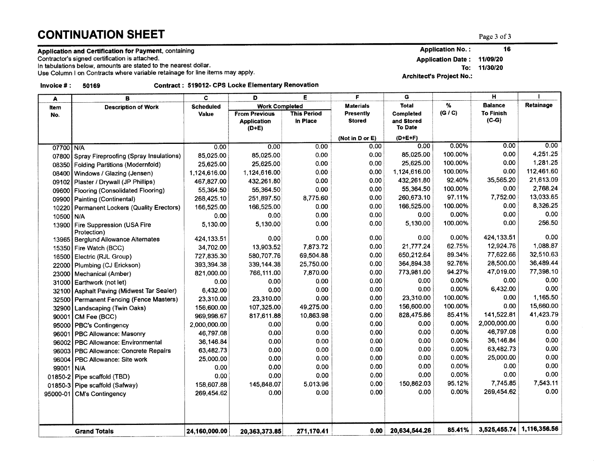# $$

### Application and Certification for Payment, containing

Contractor's signed certifi cation is attached.

ln tabulations below, amounts are stated to the nearest dollar.

Use Column I on Contracts where variable retainage for line items may apply

lnvolce # : <sup>50169</sup> Contract : 519012- CPS Locke Elementary Renovatlon

| A           | в                                               | c                | D                                                     | Е                              | F                          | G                                                |          | H                           |              |
|-------------|-------------------------------------------------|------------------|-------------------------------------------------------|--------------------------------|----------------------------|--------------------------------------------------|----------|-----------------------------|--------------|
| <b>Item</b> | <b>Description of Work</b>                      | <b>Scheduled</b> | <b>Work Completed</b>                                 |                                | <b>Materials</b>           | Total                                            | %        | <b>Balance</b>              | Retainage    |
| No.         |                                                 | Value            | <b>From Previous</b><br><b>Application</b><br>$(D+E)$ | <b>This Period</b><br>In Place | Presently<br><b>Stored</b> | <b>Completed</b><br>and Stored<br><b>To Date</b> | (G / C)  | <b>To Finish</b><br>$(C-G)$ |              |
|             |                                                 |                  |                                                       |                                | (Not in D or E)            | $(D+E+F)$                                        |          |                             |              |
| 07700 N/A   |                                                 | 0.00             | 0.00                                                  | 0.00                           | 0.00                       | 0.00                                             | $0.00\%$ | 0.00                        | 0.00         |
|             | 07800 Spray Fireproofing (Spray Insulations)    | 85,025.00        | 85,025.00                                             | 0.00                           | 0.00                       | 85,025.00                                        | 100.00%  | 0.00                        | 4,251.25     |
|             | 08350 Folding Partitions (Modernfold)           | 25,625.00        | 25,625.00                                             | 0.00                           | 0.00                       | 25,625.00                                        | 100.00%  | 0.00                        | 1,281.25     |
| 08400       | Windows / Glazing (Jensen)                      | 1,124,616.00     | 1,124,616.00                                          | 0.00                           | 0.00                       | 1,124,616.00                                     | 100.00%  | 0.00                        | 112,461.60   |
| 09102       | Plaster / Drywall (JP Phillips)                 | 467,827.00       | 432,261.80                                            | 0.00                           | 0.00                       | 432,261.80                                       | 92.40%   | 35,565.20                   | 21,613.09    |
| 09600       | Flooring (Consolidated Flooring)                | 55,364.50        | 55,364.50                                             | 0.00                           | 0.00                       | 55,364.50                                        | 100.00%  | 0.00                        | 2,768.24     |
|             | 09900 Painting (Continental)                    | 268,425.10       | 251,897.50                                            | 8,775.60                       | 0.00                       | 260,673.10                                       | 97.11%   | 7,752.00                    | 13,033.65    |
| 10220       | Permanent Lockers (Quality Erectors)            | 166,525.00       | 166,525.00                                            | 0.00                           | 0.00                       | 166,525.00                                       | 100.00%  | 0.00                        | 8,326.25     |
| 10500 N/A   |                                                 | 0.00             | 0.00                                                  | 0.00                           | 0.00                       | 0.00                                             | 0.00%    | 0.00                        | 0.00         |
|             | 13900 Fire Suppression (USA Fire<br>Protection) | 5,130.00         | 5,130.00                                              | 0.00                           | 0.00                       | 5,130.00                                         | 100.00%  | 0.00                        | 256.50       |
|             | 13965   Berglund Allowance Alternates           | 424,133.51       | 0.00                                                  | 0.00                           | 0.00                       | 0.00                                             | 0.00%    | 424,133.51                  | 0.00         |
|             | 15350 Fire Watch (BCC)                          | 34,702.00        | 13,903.52                                             | 7,873.72                       | 0.00                       | 21,777.24                                        | 62.75%   | 12,924.76                   | 1,088.87     |
| 16500       | Electric (RJL Group)                            | 727,835.30       | 580,707.76                                            | 69,504.88                      | 0.00                       | 650,212.64                                       | 89.34%   | 77,622.66                   | 32,510.63    |
|             | 22000 Plumbing (CJ Erickson)                    | 393,394.38       | 339,144.38                                            | 25,750.00                      | 0.00                       | 364,894.38                                       | 92.76%   | 28,500.00                   | 36,489.44    |
| 23000       | Mechanical (Amber)                              | 821,000.00       | 766,111.00                                            | 7,870.00                       | 0.00                       | 773,981.00                                       | 94.27%   | 47,019.00                   | 77,398.10    |
| 31000       | Earthwork (not let)                             | 0.00             | 0.00                                                  | 0.00                           | 0.00                       | 0.00                                             | 0.00%    | 0.00                        | 0.00         |
|             | 32100 Asphalt Paving (Midwest Tar Sealer)       | 6,432.00         | 0.00                                                  | 0.00                           | 0.00                       | 0.00                                             | 0.00%    | 6,432.00                    | 0.00         |
|             | 32500 Permanent Fencing (Fence Masters)         | 23,310.00        | 23,310.00                                             | 0.00                           | 0.00                       | 23,310.00                                        | 100.00%  | 0.00                        | 1,165.50     |
|             | 32900 Landscaping (Twin Oaks)                   | 156,600.00       | 107,325.00                                            | 49,275.00                      | 0.00                       | 156,600.00                                       | 100.00%  | 0.00                        | 15,660.00    |
| 90001       | CM Fee (BCC)                                    | 969,998.67       | 817,611.88                                            | 10,863.98                      | 0.00                       | 828,475.86                                       | 85.41%   | 141,522.81                  | 41,423.79    |
|             | 95000 PBC's Contingency                         | 2,000,000.00     | 0.00                                                  | 0.00                           | 0.00                       | 0.00                                             | 0.00%    | 2,000,000.00                | 0.00         |
| 96001       | <b>PBC Allowance: Masonry</b>                   | 46,797.08        | 0.00                                                  | 0.00                           | 0.00                       | 0.00                                             | 0.00%    | 46,797.08                   | 0.00         |
|             | 96002 PBC Allowance: Environmental              | 36,146.84        | 0.00                                                  | 0.00                           | 0.00                       | 0.00                                             | 0.00%    | 36,146.84                   | 0.00         |
|             | 96003 PBC Allowance: Concrete Repairs           | 63,482.73        | 0.00                                                  | 0.00                           | 0.00                       | 0.00                                             | 0.00%    | 63,482.73                   | 0.00         |
| 96004       | PBC Allowance: Site work                        | 25,000.00        | 0.00                                                  | 0.00                           | 0.00                       | 0.00                                             | 0.00%    | 25,000.00                   | 0.00         |
| 99001       | N/A                                             | 0.00             | 0.00                                                  | 0.00                           | 0.00                       | 0.00                                             | 0.00%    | 0.00                        | 0.00         |
|             | 01850-2 Pipe scaffold (TBD)                     | 0.00             | 0.00                                                  | 0.00                           | 0.00                       | 0.00                                             | 0.00%    | 0.00                        | 0.00         |
|             | 01850-3 Pipe scaffold (Safway)                  | 158,607.88       | 145,848.07                                            | 5,013.96                       | 0.00                       | 150,862.03                                       | 95.12%   | 7,745.85                    | 7,543.11     |
| 95000-01    | <b>CM's Contingency</b>                         | 269,454.62       | 0.00                                                  | 0.00                           | 0.00                       | 0.00                                             | 0.00%    | 269,454.62                  | 0.00         |
|             |                                                 |                  |                                                       |                                |                            |                                                  |          |                             |              |
|             | <b>Grand Totals</b>                             | 24,160,000.00    | 20,363,373.85                                         | 271,170.41                     | 0.00                       | 20,634,544.26                                    | 85.41%   | 3,525,455.74                | 1,116,356.56 |

Application No.: 16

Application Date : 11/09/20

To: 11/30/20

Architect's Project No.: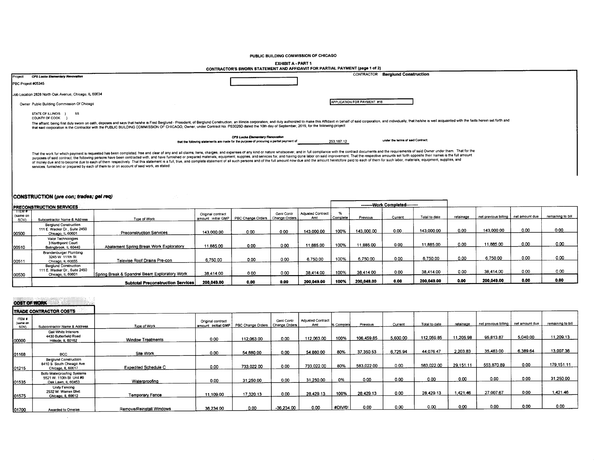PUBLIC BUILDING COMMISSION OF CHICAGO

EXHIBIT A - PART 1  $\overline{a}$ 

|         | <b>CARDIA-PARTI</b><br>CONTRACTOR'S SWORN STATEMENT AND AFFIDAVIT FOR PARTIAL PAYMENT (page 1 of 2)                                                                                                                                                                                                                                                                                                                                                                                                                                                                                                                                                                                                                                                                                                                                                                                                                                                                                |
|---------|------------------------------------------------------------------------------------------------------------------------------------------------------------------------------------------------------------------------------------------------------------------------------------------------------------------------------------------------------------------------------------------------------------------------------------------------------------------------------------------------------------------------------------------------------------------------------------------------------------------------------------------------------------------------------------------------------------------------------------------------------------------------------------------------------------------------------------------------------------------------------------------------------------------------------------------------------------------------------------|
| Project | CONTRACTOR Berglund Construction<br>CPS Locke Elementary Revovation<br>PBC Project #05345                                                                                                                                                                                                                                                                                                                                                                                                                                                                                                                                                                                                                                                                                                                                                                                                                                                                                          |
|         | Job Location 2828 North Oak Avenue, Chicago, IL 60634<br>APPLICATION FOR PAYMENT #16<br>Owner Public Building Commission Of Chicago<br>STATE OF ILLINOIS } SS<br>COUNTY OF COOK<br>The affiant, being first duly sworn on oath, deposes and says that hershe is Fred Berglund - President, of Berglund Construction, an Illinois corporation, and duly authorized to make this Affidavit in behalf of said corpor<br>that said corporation is the Contractor with the PUBLIC BUILDING COMMISSION OF CHICAGO, Owner, under Contract No. PS3025D dated the 10th day of September, 2019, for the following project                                                                                                                                                                                                                                                                                                                                                                    |
|         | CPS Locke Elementary Renovation<br>under the terms of said Contract;<br>that the following statements are made for the purpose of procuring a partial payment of<br>253, 187.12<br>That the work for which payment is requested has been completed, free and clear of any and all claims, tiens, charges, and expenses of any kind or nature whatsoever, and in full compliance with the contract documents and t<br>purposes of said contract, the following persons have been contracted with, and have furnished or prepared materials, equipment, supplies, and services for, and having done labor on said improvement. That the respective am<br>of money due and to become due to each of them respectively. That this statement is a full, true, and complete statement of all such persons and of the full amount now due and the amount heretofore paid to each of them for<br>services, furnished or prepared by each of them to or on account of said work, as stated: |

### CONSTRUCTION (pre con; trades; gel req)

| <b>IPRECONSTRUCTION SERVICES</b> |                                                                                    |                                               |                                            |                   |                             |                          |          |            | ---------Work Completed--------- |               |           |                      |                |                   |
|----------------------------------|------------------------------------------------------------------------------------|-----------------------------------------------|--------------------------------------------|-------------------|-----------------------------|--------------------------|----------|------------|----------------------------------|---------------|-----------|----------------------|----------------|-------------------|
| пем;<br>(same on<br>SOV)         | Subcontractor Name & Address                                                       | Type of Work                                  | Original contract<br>amount: initial GMP I | PBC Change Orders | Geni Contr<br>Change Orders | Adjusted Contract<br>Amt | Complete | Previous   | Current                          | Total to date | retainage | net previous billing | net amount due | remaining to bill |
| 100500                           | <b>Berglund Construction</b><br>111 E. Wacker Dr., Suite 2450<br>Chicago, IL 60601 | <b>Preconstruction Services</b>               | 143,000.00                                 | 0.00              | 0.00                        | 143.000.00               | 100%     | 143,000.00 | 0.00                             | 143,000.00    | 0.00      | 143,000.00           | 0.00           | 0.00              |
| 00510                            | Valor Technologies<br>3 Northpoint Court<br>Bolingbrook, IL 60440                  | Abatement Spring Break Work Exploratory       | 11,885.00                                  | 0.00              | 0.00                        | 11,885.00                | 100%     | 11,885.00  | 0.00                             | 11,885.00     | 0.00      | 11,885.00            | 0.00           | 0.00              |
| 00511                            | <b>Brandenburger Plumbing</b><br>3245 W. 111th St.<br>Chicago, IL 60655            | Televise Roof Drains Pre-con                  | 6.750.00                                   | 0.00              | 0.00                        | 6,750.00                 | 100%     | 6.750.00   | 0.00                             | 6.750.00      | 0.00      | 6.750.00             | 0.00           | 0.00              |
| 100530                           | <b>Berglund Construction</b><br>111 E. Wacker Dr., Suite 2450<br>Chicago, IL 60601 | Spring Break & Spandrel Beam Exploratory Work | 38.414.00                                  | 0.00              | 0.00                        | 38.414.00                | 100%     | 38.414.00  | 0.00                             | 38.414.00     | 0.00      | 38.414.00            | 0.00           | 0.00              |
|                                  |                                                                                    | <b>Subtotal Preconstruction Services</b>      | 200.049.00                                 | 0.00              | 0.00                        | 200.049.00               | 100%     | 200,049.00 | 0.00                             | 200.049.00    | 0.00      | 200.049.00           | 0.00           | 0.00              |

## **COST OF WORK**

 $\sim$ 

|                           | <b>TRADE CONTRACTOR COSTS</b>                                                   |                             |                                              |                   |                               |                                 |            |            |          |               |           |                                       |          |                   |
|---------------------------|---------------------------------------------------------------------------------|-----------------------------|----------------------------------------------|-------------------|-------------------------------|---------------------------------|------------|------------|----------|---------------|-----------|---------------------------------------|----------|-------------------|
| ITEM #<br>(same on<br>sow | Subcontractor Name & Address                                                    | Type of Work                | Original contract<br>I amount: initial GMP + | PBC Change Orders | Geni Contr<br>Change Orders I | <b>Adjusted Contract</b><br>Amt | 6 Complete | Previous   | Current  | Total to date | retainage | net previous billing   net amount due |          | remaining to bill |
| 100000                    | Gail White Interiors<br>4430 Butterfield Road<br>Hillside, IL 60162             | <b>Window Treatments</b>    | 0.00                                         | 112,063.00        | 0.00                          | 112,063.00                      | 100%       | 106,459.85 | 5.600.00 | 112.059.85    | 11,205.98 | 95.813.87                             | 5,040.00 | 11,209.13         |
| 01168                     | <b>BCC</b>                                                                      | Site Work                   | 0.00                                         | 54,880.00         | 0.00                          | 54.880.00                       | 80%        | 37.350.53  | 6,725.94 | 44.076.47     | 2.203.83  | 35,483.00                             | 6.389.64 | 13,007.36         |
| 01215                     | <b>Berglund Construction</b><br>8410 S. South Chicago Ave.<br>Chicago, IL 60617 | <b>Expedited Schedule C</b> | 0.00                                         | 733.022.00        | 0.00                          | 733.022.00                      | 80%        | 583,022.00 | 0.00     | 583,022.00    | 29.151.11 | 553,870.89                            | 0.00     | 179.151.11        |
| 01535                     | Boto Waterproofing Systems<br>5521 W. 110th St. Unit #9<br>Oak Lawn, IL 60453   | Waterproofing               | 0.00                                         | 31.250.00         | 0.00                          | 31 250.00                       | 0%         | 0.00       | 0.00     | 0.00          | 0.00      | 0.00                                  | 0.00     | 31,250.00         |
| 01575                     | Unity Fencing<br>2532 W. Warren Blvd.<br>Chicago, IL 60612                      | Temporary Fence             | 11,109.00                                    | 17,320.13         | 0.00                          | 28,429.13                       | 100%       | 28,429.13  | 0.00     | 28.429.13     | 1.421.46  | 27.007.67                             | 0.00     | 1.421.46          |
| 01700                     | Awarded to Ornelas                                                              | Remove/Reinstall Windows    | 36.234.00                                    | 0.00              | $-36,234.00$                  | 0.00                            | #DIV/0!    | 0.00       | 0.00     | 0.00          | 0.00      | 0.00                                  | 0.00     | 0.00              |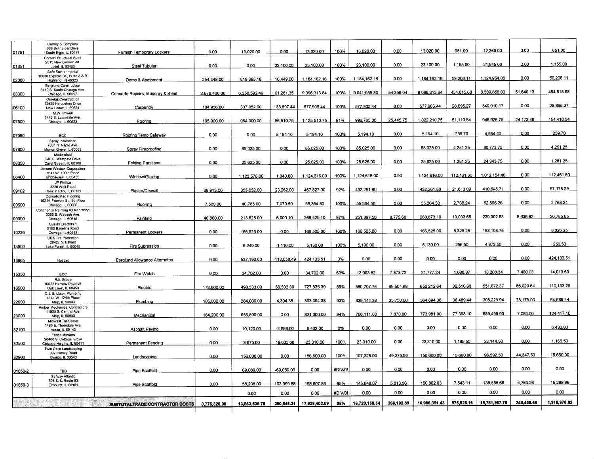| 01751   | Carney & Company<br>636 Schneider Drive<br>South Elgin, IL 60177           | Furnish Temporary Lockers         | 0.00         | 13,020.00     | 0.00        | 13,020.00     | 100%    | 13,020.00     | 0.00       | 13,020.00     | 651.00     | 12,369.00     | 0.00       | 651.00       |
|---------|----------------------------------------------------------------------------|-----------------------------------|--------------|---------------|-------------|---------------|---------|---------------|------------|---------------|------------|---------------|------------|--------------|
|         | Corsetti Structural Steel<br>2515 New Lennox Rd.                           |                                   |              |               |             |               |         |               |            |               |            |               |            |              |
| 01851   | Joliet, IL 60433                                                           | Steel Tubular                     | 0.00         | 0.00          | 23,100.00   | 23,100.00     | 100%    | 23,100.00     | 0.00       | 23.100.00     | 1.155.00   | 21,945.00     | 0.00       | 1.155.00     |
| 02000   | Safe Environmental<br>10030 Express Dr., Suite A & B<br>Highland, IN 46323 | Demo & Abatement                  | 254,348.00   | 919,365.16    | 10,449.00   | 1,184,162.16  | 100%    | 1.184,162.16  | 0.00       | 1.184.162.16  | 59.208.11  | 1,124,954.05  | 0.00       | 59,208.11    |
|         | <b>Berglund Construction</b>                                               |                                   |              |               |             |               |         |               |            |               |            |               |            |              |
| 03300   | 8410 S. South Chicago Ave.<br>Chicago, IL 60617                            | Concrete Repairs, Masonry & Steel | 2,676,460.00 | 6,358,592.49  | 61.261.35   | 9,096,313.84  | 100%    | 9.041.955.80  | 54.358.04  | 9.096.313.84  | 454.815.68 | 8,589,858.03  | 51.640.13  | 454,815.68   |
| 06100   | Ornelas Construction<br>12520 Horseshoe Drive<br>New Lenox, IL 60651       | Carpentry                         | 104.956.00   | 337.052.00    | 135,897.44  | 577,905.44    | 100%    | 577,905.44    | 0.00       | 577,905.44    | 28,895.27  | 549.010.17    | 0.00       | 28,895.27    |
|         | M.W. Powell<br>3445 S. Lawndale Ave.                                       |                                   |              |               |             |               |         |               |            |               | 51.110.54  | 946,926.75    | 24,173.46  | 154,410.54   |
| 07500   | Chicago, IL 60623                                                          | Roofing                           | 105,000.00   | 964.000.00    | 56.510.75   | 1.125,510.75  | 91%     | 996,765.00    | 25.445.75  | 1.022.210.75  |            |               |            |              |
| 07590   | <b>BCC</b>                                                                 | Roofing Temp Safeway              | 0.00         | 0.00          | 5,194.10    | 5.194.10      | 100%    | 5,194.10      | 0.00       | 5,194.10      | 259.70     | 4,934.40      | 0.00       | 259.70       |
|         | Spray Insulations                                                          |                                   |              |               |             |               |         |               |            |               |            |               |            |              |
| 07800   | 7831 N. Nagle Ave.<br>Morton Grove, IL 60053                               | Spray Fireproofing                | 0.00         | 85,025.00     | 0.00        | 85,025.00     | 100%    | 85,025.00     | 0.00       | 85,025.00     | 4.251.25   | 80.773.75     | 0.00       | 4.251.25     |
| 08350   | Modernfold<br>240 S. Westgate Drive<br>Carol Stream, IL 60188              | <b>Folding Partitions</b>         | 0.00         | 25.625.00     | 0.00        | 25,625.00     | 100%    | 25,625.00     | 0.00       | 25,625.00     | 1,281.25   | 24,343.75     | 0.00       | 1,281.25     |
|         | Jensen Window Corporation                                                  |                                   |              |               |             |               |         |               |            |               |            |               |            |              |
| 08400   | 7641 W. 100th Place<br>Bridgeview, IL 60455<br>JP Phillips                 | Window/Glazing                    | 0.00         | 1,123,576.00  | 1,040.00    | 1,124,616.00  | 100%    | 1,124,616.00  | 0.00       | 1.124,616.00  | 112,461.60 | 1.012,154.40  | 0.00       | 112.461.60   |
|         | 3220 Wolf Road                                                             |                                   |              |               |             |               |         |               |            |               |            |               |            |              |
| 09102   | Franklin Park, IL 60131                                                    | Plaster/Drywall                   | 88,913.00    | 355,652.00    | 23.262.00   | 467.827.00    | 92%     | 432.261.80    | 0.00       | 432.261.80    | 21,613.09  | 410,648.71    | 0.00       | 57.178.29    |
|         | Consolidated Flooring                                                      |                                   |              |               |             |               |         |               |            |               |            |               |            |              |
| 09600   | 162 N. Franklin St., 5th Floor<br>Chicago, IL 60606                        | Flooring                          | 7,500.00     | 40.785.00     | 7,079.50    | 55,364.50     | 100%    | 55.364.50     | 0.00       | 55.364.50     | 2.768.24   | 52.596.26     | 0.00       | 2,768.24     |
|         | Continental Painting & Decorating<br>2255 S. Wabash Ave.                   |                                   |              |               |             |               |         |               |            |               |            |               |            |              |
| 09900   | Chicago, IL 60616<br>Quality Erectors 1                                    | Painting                          | 48,800.00    | 213.625.00    | 6,000.10    | 268.425.10    | 97%     | 251.897.50    | 8,775.60   | 260,673.10    | 13,033.65  | 239,302.63    | 8,336.82   | 20,785.65    |
|         | 5100 Baseline Road                                                         |                                   |              |               |             |               |         |               |            |               |            | 158,198.75    | 0.00       | 8,326.25     |
| 10220   | Oswego, IL 60543                                                           | Permanent Lockers                 | 0.00         | 166,525.00    | 0.00        | 166,525.00    | 100%    | 166,525.00    | 0.00       | 166,525.00    | 8,326.25   |               |            |              |
|         | <b>USA Fire Protection</b>                                                 |                                   |              |               |             |               |         |               |            |               |            |               |            |              |
| 13900   | 28427 N. Ballard<br>Lake Forest, IL 60045                                  | Fire Supression                   | 0.00         | 6,240.00      | $-1,110.00$ | 5,130.00      | 100%    | 5,130.00      | 0.00       | 5.130.00      | 256.50     | 4,873.50      | 0.00       | 256.50       |
|         |                                                                            |                                   |              |               |             |               |         |               |            |               |            |               |            |              |
|         |                                                                            |                                   |              |               |             |               |         | 0.00          | 0.00       | 0.00          | 0.00       | 0.00          | 0.00       | 424.133.51   |
| 13965   | Not Let                                                                    | Berglund Allowance Alternates     | 0.00         | 537.192.00    | 113,058.49  | 424, 133.51   | 0%      |               |            |               |            |               |            |              |
| 15350   | <b>BCC</b>                                                                 | Fire Watch                        | 0.00         | 34,702.00     | 0.00        | 34,702.00     | 63%     | 13,903.52     | 7,873.72   | 21.777.24     | 1.088.87   | 13,208.34     | 7.480.03   | 14.013.63    |
|         | RJL Group<br>10022 Harnew Road W                                           |                                   | 172.800.00   | 498,533.00    | 56,502.30   | 727,835.30    | 89%     | 580,707.76    | 69,504.88  | 650.212.64    | 32.510.63  | 551.672.37    | 66.029.64  | 110,133.29   |
| 16500   | Oak Lawn, IL 60453<br>C.J. Erickson Plumbing                               | Electric                          |              |               |             |               |         |               |            |               |            |               |            |              |
|         | 4141 W. 124th Place                                                        |                                   |              |               |             |               |         |               |            |               |            |               |            |              |
| 22000   | Alsip, IL 60803                                                            | Plumbing                          | 105,000.00   | 284,000.00    | 4,394.38    | 393.394.38    | 93%     | 339, 144.38   | 25.750.00  | 364.894.38    | 36.489.44  | 305.229.94    | 23.175.00  | 64.989.44    |
|         | Amber Mechanical Contractors                                               |                                   |              |               |             |               |         |               |            |               |            |               |            |              |
| 23000   | 11950 S. Central Ave.<br>Alsip, IL 60803                                   | Mechanical                        | 164,200.00   | 656.800.00    | 0.00        | 821.000.00    | 94%     | 766,111.00    | 7,870.00   | 773,981.00    | 77.398.10  | 689,499.90    | 7,083.00   | 124,417.10   |
|         | Midwest Tar Sealer                                                         |                                   |              |               |             |               |         |               |            |               |            |               |            |              |
|         | 1485 E. Thorndale Ave.                                                     |                                   |              | 10,120.00     | $-3.688.00$ | 6.432.00      | 0%      | 0.00          | 0.00       | 0.00          | 0.00       | 0.00          | 0.00       | 6,432.00     |
| 32100   | Itasca, IL 60143                                                           | Asphalt Paving                    | 0.00         |               |             |               |         |               |            |               |            |               |            |              |
|         | Fence Masters<br>20400 S. Cottage Grove                                    |                                   |              |               |             |               |         |               |            |               |            |               |            |              |
| 32500   | Chicago Heights, IL 60411                                                  | <b>Permanent Fencing</b>          | 0.00         | 3.675.00      | 19,635.00   | 23,310.00     | 100%    | 23,310.00     | 0.00       | 23,310.00     | 1,165.50   | 22,144.50     | 0.00       | 1.165.50     |
|         | Twin Oaks Landscaping                                                      |                                   |              |               |             |               |         |               |            |               |            |               |            |              |
|         | 997 Harvey Road                                                            |                                   | 0.00         | 156,600.00    | 0.00        | 156,600.00    | 100%    | 107,325.00    | 49,275.00  | 156,600.00    | 15,660.00  | 96.592.50     | 44.347.50  | 15,660.00    |
| 32900   | Owego, IL 60543                                                            | Landscaping                       |              |               |             |               |         |               |            |               |            |               |            |              |
|         |                                                                            |                                   |              |               |             |               |         |               |            |               |            |               |            | 0.00         |
| 01850-2 | TBD                                                                        | Pipe Scaffold                     | 0.00         | 69,089.00     | -69,089.00  | 0.00          | #DIV/0! | 0.00          | 0.00       | 0.00          | 0.00       | 0.00          | 0.00       |              |
|         | Safway Atlantic<br>625 S. IL Route 83                                      |                                   |              |               |             | 158,607.88    | 95%     | 145,848.07    | 5,013.96   | 150,862.03    | 7,543.11   | 138,555.66    | 4,763.26   | 15,288.96    |
| 01850-3 | Eimhurst, IL 60181                                                         | Pipe Scaffold                     | 0.00         | 55,208.00     | 103,399.88  |               |         | 0.00          | 0.00       | 0.00          | 0.00       | 0.00          | 0.00       | 0.00         |
|         |                                                                            |                                   |              | 0.00          | 0.00        | 0.00          | #DIV/0! |               |            |               |            |               |            |              |
|         |                                                                            | SUBTOTALTRADE CONTRACTOR COSTS    | 3,775,320.00 | 13,863,536.78 | 290,546.31  | 17,929,403.09 | 95%     | 16,720,158.54 | 266,192.89 | 16,986,351.43 | 975,925.16 | 15,761,967.79 | 248.458.48 | 1,918,976.82 |
|         |                                                                            |                                   |              |               |             |               |         |               |            |               |            |               |            |              |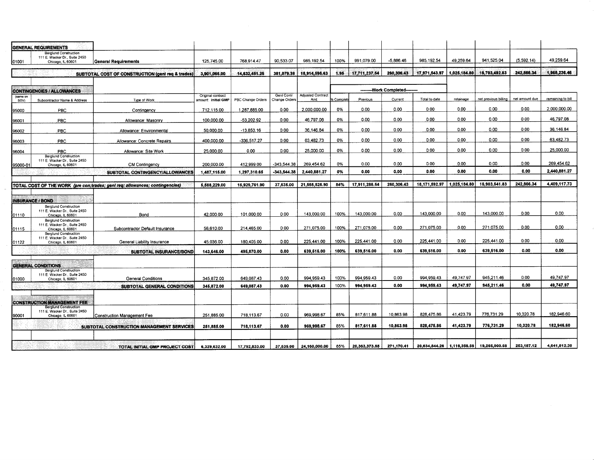|                  | <b>GENERAL REQUIREMENTS</b>                                                                |                                                                              |                                          |                   |                             |                                 |          |                 |                               |               |                              |                      |                |                   |
|------------------|--------------------------------------------------------------------------------------------|------------------------------------------------------------------------------|------------------------------------------|-------------------|-----------------------------|---------------------------------|----------|-----------------|-------------------------------|---------------|------------------------------|----------------------|----------------|-------------------|
| 01001            | <b>Berglund Construction</b><br>111 E. Wacker Dr., Suite 2450<br>Chicago, IL 60601         | General Requirements                                                         | 125.745.00                               | 768,914.47        | 90.533.07                   | 985,192.54                      | 100%     | 991.079.00      | $-5,886.46$                   | 985.192.54    | 49,259.64                    | 941.525.04           | (5,592.14)     | 49.259.64         |
|                  |                                                                                            | SUBTOTAL COST OF CONSTRUCTION (geni req & trades)                            | 3.901.065.00                             | 14.632.451.25     | 381.079.38                  | 18,914,595.63                   | 1.95     | 17.711.237.54   | 260,306.43                    | 17,971,543.97 | 1,025,184.80                 | 16,703,492.83        | 242,866.34     | 1,968,236.46      |
|                  | CONTINGENCIES / ALLOWANCES                                                                 |                                                                              |                                          |                   |                             |                                 |          |                 | --------Work Completed------- |               |                              |                      |                |                   |
| (same on<br>SOV) | Subcontractor Name & Address                                                               | Type of Work                                                                 | Original contract<br>amount: initial GMP | PBC Change Orders | Genl Contr<br>Change Orders | <b>Adjusted Contract</b><br>Amt | 6 Comple | Previous        | Current                       | Total to date | retainage                    | net previous billing | net amount due | remaining to bill |
| 95000            | PBC                                                                                        | Contingency                                                                  | 712.115.00                               | 1,287,885.00      | 0.00                        | 2.000.000.00                    | 0%       | 0.00            | 0.00                          | 0.00          | 0.00                         | 0.00                 | 0.00           | 2.000.000.00      |
| 96001            | PBC                                                                                        | Allowance: Masonry                                                           | 100,000.00                               | -53.202.92        | 0.00                        | 46.797.08                       | 0%       | 0.00            | 0.00                          | 0.00          | 0.00                         | 0.00                 | 0.00           | 46,797.08         |
| 96002            | PBC                                                                                        | Allowance: Environmental                                                     | 50.000.00                                | $-13.853.16$      | 0.00                        | 36,146.84                       | 0%       | 0.00            | 0.00                          | 0.00          | 0.00                         | 0.00                 | 0.00           | 36,146.84         |
| 96003            | <b>PBC</b>                                                                                 | Allowance: Concrete Repairs                                                  | 400,000.00                               | -336,517.27       | 0.00                        | 63,482.73                       | 0%       | 0.00            | 0.00                          | 0.00          | 0.00                         | 0.00                 | 0.00           | 63,482.73         |
| 96004            | PBC                                                                                        | Allowance: Site Work                                                         | 25,000.00                                | 0.00              | 0.00                        | 25,000.00                       | 0%       | 0.00            | 0.00                          | 0.00          | 0.00                         | 0.00                 | 0.00           | 25,000.00         |
| 95000-01         | <b>Berglund Construction</b><br>111 E. Wacker Dr., Suite 2450<br>Chicago, IL 60601         | <b>CM Contingency</b>                                                        | 200,000.00                               | 412,999.00        | -343,544.38                 | 269.454.62                      | 0%       | 0.00            | 0.00                          | 0.00          | 0.00                         | 0.00                 | 0.00           | 269.454.62        |
|                  |                                                                                            | SUBTOTAL CONTINGENCY/ALLOWANCES                                              | 1,487,115.00                             | 1,297,310.65      | $-343,544.38$               | 2,440,881.27                    | 0%       | 0.00            | 0.00                          | 0.00          | 0.00                         | 0.00                 | 0.00           | 2,440,881.27      |
|                  |                                                                                            |                                                                              |                                          |                   | 37,535.00                   | 21,555,525.90                   | 84%      | 17,911,286.54   | 260,306.43                    | 18,171,592.97 | 1.025.184.80                 | 16,903,541.83        | 242.866.34     | 4.409.117.73      |
|                  |                                                                                            | TOTAL COST OF THE WORK (pre con;trades; gent req; allowances; contingencies) | 5,588,229.00                             | 15,929,761.90     |                             |                                 |          |                 |                               |               |                              |                      |                |                   |
|                  | INSURANCE / BOND                                                                           |                                                                              |                                          |                   |                             |                                 |          |                 |                               |               |                              |                      |                |                   |
| 01110            | <b>Berglund Construction</b><br>111 E. Wacker Dr., Suite 2450<br>Chicago, IL 60601         | Bond                                                                         | 42.000.00                                | 101,000.00        | 0.00                        | 143.000.00                      | 100%     | 143,000.00      | 0.00                          | 143.000.00    | 0.00                         | 143,000.00           | 0.00           | 0.00              |
| 01115            | <b>Berglund Construction</b><br>111 E. Wacker Dr., Suite 2450<br>Chicago, IL 60601         | Subcontractor Default Insurance                                              | 56.610.00                                | 214,465.00        | 0.00                        | 271.075.00                      | 100%     | 271.075.00      | 0.00                          | 271.075.00    | 0.00                         | 271.075.00           | 0.00           | 0.00              |
| 01122            | <b>Berglund Construction</b><br>111 E. Wacker Dr., Suite 2450<br>Chicago, IL 60601         | General Liability Insurance                                                  | 45,036.00                                | 180,405.00        | 0.00                        | 225.441.00                      | 100%     | 225.441.00      | 0.00                          | 225.441.00    | 0.00                         | 225.441.00           | 0.00           | 0.00              |
|                  |                                                                                            | SUBTOTAL INSURANCE/BOND                                                      | 143,646.00                               | 495,870.00        | 0.00                        | 639,516.00                      | 100%     | 639,516.00      | 0.00                          | 639,516.00    | 0.00                         | 639,516.00           | 0.00           | 0.00              |
|                  |                                                                                            |                                                                              |                                          |                   |                             |                                 |          |                 |                               |               |                              |                      |                |                   |
|                  | <b>GENERAL CONDITIONS</b><br><b>Berglund Construction</b><br>111 E. Wacker Dr., Suite 2450 |                                                                              | 345,872.00                               | 649.087.43        | 0.00                        | 994,959.43                      | 100%     | 994,959.43      | 0.00                          | 994,959.43    | 49,747.97                    | 945,211.46           | 0.00           | 49,747.97         |
| 01000            | Chicago, IL 60601                                                                          | General Conditions<br>SUBTOTAL GENERAL CONDITIONS                            | 345,872.00                               | 649,087.43        | 0.00                        | 994.959.43                      | 100%     | 994,959.43      | 0.00                          | 994, 959.43   | 49,747.97                    | 945,211.46           | 0.00           | 49,747.97         |
|                  |                                                                                            |                                                                              |                                          |                   |                             |                                 |          |                 |                               |               |                              |                      |                |                   |
|                  | <b>CONSTRUCTION MANAGEMENT FEE</b>                                                         |                                                                              |                                          |                   |                             |                                 |          |                 |                               |               |                              |                      |                |                   |
| 90001            | <b>Berglund Construction</b><br>111 E. Wacker Dr., Suite 2450<br>Chicago, IL 60601         | <b>Construction Management Fee</b>                                           | 251,885.00                               | 718,113.67        | 0.00                        | 969,998.67                      | 85%      | 817,611.88      | 10,863.98                     | 828,475.86    | 41.423.79                    | 776.731.29           | 10,320.78      | 182,946.60        |
|                  |                                                                                            | SUBTOTAL CONSTRUCTION MANAGEMENT SERVICES                                    | 251,885.00                               | 718,113.67        | 0.00                        | 969,998.67                      | 85%      | 817,611.88      | 10,863.98                     | 828,475.86    | 41,423.79                    | 776,731.29           | 10,320.78      | 182,946.60        |
|                  |                                                                                            |                                                                              |                                          |                   |                             |                                 |          |                 |                               |               |                              |                      |                |                   |
|                  |                                                                                            |                                                                              |                                          |                   |                             |                                 |          | 20, 363, 373.85 |                               |               | 20,634,544.26   1,116,356.56 |                      |                | 4,641,812.30      |